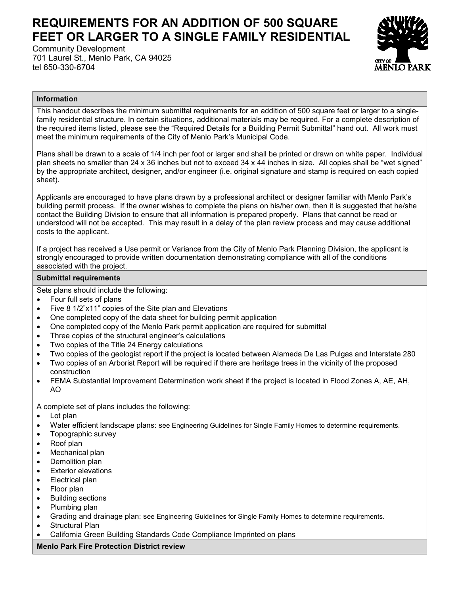## **REQUIREMENTS FOR AN ADDITION OF 500 SQUARE FEET OR LARGER TO A SINGLE FAMILY RESIDENTIAL**

Community Development 701 Laurel St., Menlo Park, CA 94025 tel 650-330-6704



## **Information**

This handout describes the minimum submittal requirements for an addition of 500 square feet or larger to a singlefamily residential structure. In certain situations, additional materials may be required. For a complete description of the required items listed, please see the "Required Details for a Building Permit Submittal" hand out. All work must meet the minimum requirements of the City of Menlo Park's Municipal Code.

Plans shall be drawn to a scale of 1/4 inch per foot or larger and shall be printed or drawn on white paper. Individual plan sheets no smaller than 24 x 36 inches but not to exceed 34 x 44 inches in size. All copies shall be "wet signed" by the appropriate architect, designer, and/or engineer (i.e. original signature and stamp is required on each copied sheet).

Applicants are encouraged to have plans drawn by a professional architect or designer familiar with Menlo Park's building permit process. If the owner wishes to complete the plans on his/her own, then it is suggested that he/she contact the Building Division to ensure that all information is prepared properly. Plans that cannot be read or understood will not be accepted. This may result in a delay of the plan review process and may cause additional costs to the applicant.

If a project has received a Use permit or Variance from the City of Menlo Park Planning Division, the applicant is strongly encouraged to provide written documentation demonstrating compliance with all of the conditions associated with the project.

## **Submittal requirements**

Sets plans should include the following:

- Four full sets of plans
- Five 8 1/2"x11" copies of the Site plan and Elevations
- One completed copy of the data sheet for building permit application
- One completed copy of the Menlo Park permit application are required for submittal
- Three copies of the structural engineer's calculations
- Two copies of the Title 24 Energy calculations
- Two copies of the geologist report if the project is located between Alameda De Las Pulgas and Interstate 280
- Two copies of an Arborist Report will be required if there are heritage trees in the vicinity of the proposed construction
- FEMA Substantial Improvement Determination work sheet if the project is located in Flood Zones A, AE, AH, AO

A complete set of plans includes the following:

- Lot plan
- Water efficient landscape plans: see Engineering Guidelines for Single Family Homes to determine requirements.
- Topographic survey
- Roof plan
- Mechanical plan
- Demolition plan
- Exterior elevations
- Electrical plan
- Floor plan
- Building sections
- Plumbing plan
- Grading and drainage plan: see Engineering Guidelines for Single Family Homes to determine requirements.
- Structural Plan
- California Green Building Standards Code Compliance Imprinted on plans

## **Menlo Park Fire Protection District review**